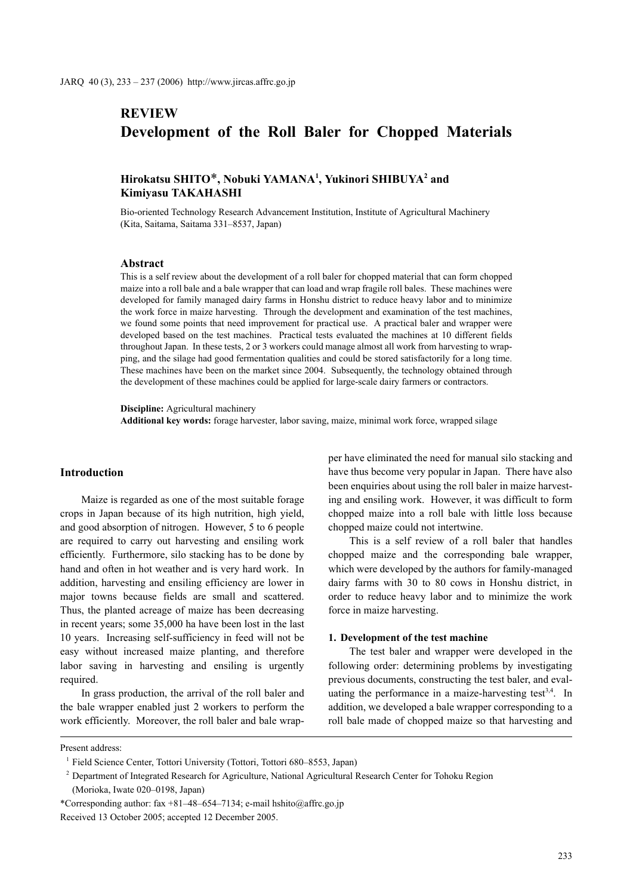# **REVIEW Development of the Roll Baler for Chopped Materials**

## **Hirokatsu SHITO**\***, Nobuki YAMANA1 , Yukinori SHIBUYA2 and Kimiyasu TAKAHASHI**

Bio-oriented Technology Research Advancement Institution, Institute of Agricultural Machinery (Kita, Saitama, Saitama 331–8537, Japan)

## **Abstract**

This is a self review about the development of a roll baler for chopped material that can form chopped maize into a roll bale and a bale wrapper that can load and wrap fragile roll bales. These machines were developed for family managed dairy farms in Honshu district to reduce heavy labor and to minimize the work force in maize harvesting. Through the development and examination of the test machines, we found some points that need improvement for practical use. A practical baler and wrapper were developed based on the test machines. Practical tests evaluated the machines at 10 different fields throughout Japan. In these tests, 2 or 3 workers could manage almost all work from harvesting to wrapping, and the silage had good fermentation qualities and could be stored satisfactorily for a long time. These machines have been on the market since 2004. Subsequently, the technology obtained through the development of these machines could be applied for large-scale dairy farmers or contractors.

**Discipline:** Agricultural machinery **Additional key words:** forage harvester, labor saving, maize, minimal work force, wrapped silage

## **Introduction**

Maize is regarded as one of the most suitable forage crops in Japan because of its high nutrition, high yield, and good absorption of nitrogen. However, 5 to 6 people are required to carry out harvesting and ensiling work efficiently. Furthermore, silo stacking has to be done by hand and often in hot weather and is very hard work. In addition, harvesting and ensiling efficiency are lower in major towns because fields are small and scattered. Thus, the planted acreage of maize has been decreasing in recent years; some 35,000 ha have been lost in the last 10 years. Increasing self-sufficiency in feed will not be easy without increased maize planting, and therefore labor saving in harvesting and ensiling is urgently required.

In grass production, the arrival of the roll baler and the bale wrapper enabled just 2 workers to perform the work efficiently. Moreover, the roll baler and bale wrapper have eliminated the need for manual silo stacking and have thus become very popular in Japan. There have also been enquiries about using the roll baler in maize harvesting and ensiling work. However, it was difficult to form chopped maize into a roll bale with little loss because chopped maize could not intertwine.

This is a self review of a roll baler that handles chopped maize and the corresponding bale wrapper, which were developed by the authors for family-managed dairy farms with 30 to 80 cows in Honshu district, in order to reduce heavy labor and to minimize the work force in maize harvesting.

#### **1. Development of the test machine**

The test baler and wrapper were developed in the following order: determining problems by investigating previous documents, constructing the test baler, and evaluating the performance in a maize-harvesting test<sup>3,4</sup>. In addition, we developed a bale wrapper corresponding to a roll bale made of chopped maize so that harvesting and

Present address:

<sup>&</sup>lt;sup>1</sup> Field Science Center, Tottori University (Tottori, Tottori 680–8553, Japan)

<sup>&</sup>lt;sup>2</sup> Department of Integrated Research for Agriculture, National Agricultural Research Center for Tohoku Region (Morioka, Iwate 020–0198, Japan)

<sup>\*</sup>Corresponding author: fax +81–48–654–7134; e-mail hshito@affrc.go.jp Received 13 October 2005; accepted 12 December 2005.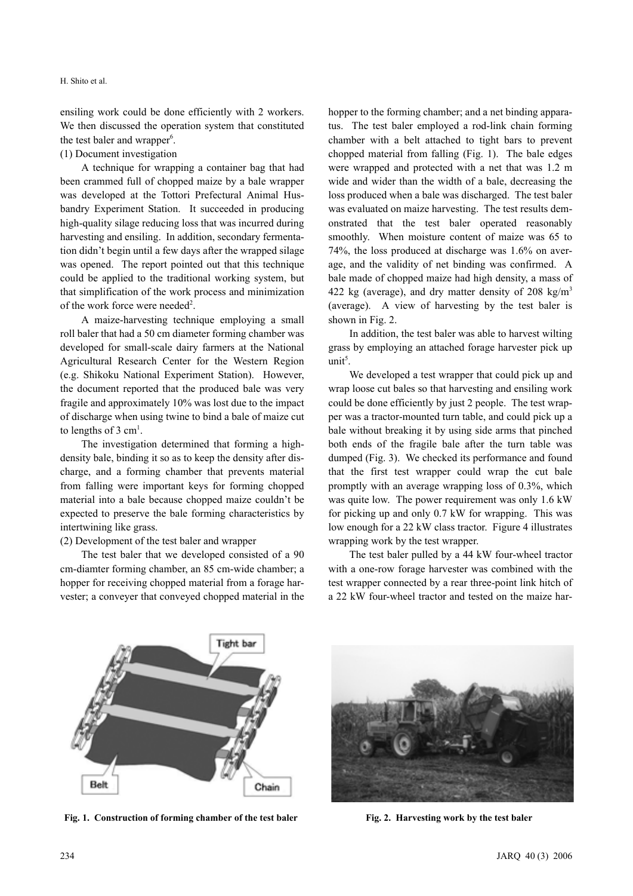H. Shito et al.

ensiling work could be done efficiently with 2 workers. We then discussed the operation system that constituted the test baler and wrapper<sup>6</sup>.

## (1) Document investigation

A technique for wrapping a container bag that had been crammed full of chopped maize by a bale wrapper was developed at the Tottori Prefectural Animal Husbandry Experiment Station. It succeeded in producing high-quality silage reducing loss that was incurred during harvesting and ensiling. In addition, secondary fermentation didn't begin until a few days after the wrapped silage was opened. The report pointed out that this technique could be applied to the traditional working system, but that simplification of the work process and minimization of the work force were needed<sup>2</sup>.

A maize-harvesting technique employing a small roll baler that had a 50 cm diameter forming chamber was developed for small-scale dairy farmers at the National Agricultural Research Center for the Western Region (e.g. Shikoku National Experiment Station). However, the document reported that the produced bale was very fragile and approximately 10% was lost due to the impact of discharge when using twine to bind a bale of maize cut to lengths of 3  $cm<sup>1</sup>$ .

The investigation determined that forming a highdensity bale, binding it so as to keep the density after discharge, and a forming chamber that prevents material from falling were important keys for forming chopped material into a bale because chopped maize couldn't be expected to preserve the bale forming characteristics by intertwining like grass.

(2) Development of the test baler and wrapper

The test baler that we developed consisted of a 90 cm-diamter forming chamber, an 85 cm-wide chamber; a hopper for receiving chopped material from a forage harvester; a conveyer that conveyed chopped material in the hopper to the forming chamber; and a net binding apparatus. The test baler employed a rod-link chain forming chamber with a belt attached to tight bars to prevent chopped material from falling (Fig. 1). The bale edges were wrapped and protected with a net that was 1.2 m wide and wider than the width of a bale, decreasing the loss produced when a bale was discharged. The test baler was evaluated on maize harvesting. The test results demonstrated that the test baler operated reasonably smoothly. When moisture content of maize was 65 to 74%, the loss produced at discharge was 1.6% on average, and the validity of net binding was confirmed. A bale made of chopped maize had high density, a mass of 422 kg (average), and dry matter density of 208 kg/m<sup>3</sup> (average). A view of harvesting by the test baler is shown in Fig. 2.

In addition, the test baler was able to harvest wilting grass by employing an attached forage harvester pick up  $unit^5$ .

We developed a test wrapper that could pick up and wrap loose cut bales so that harvesting and ensiling work could be done efficiently by just 2 people. The test wrapper was a tractor-mounted turn table, and could pick up a bale without breaking it by using side arms that pinched both ends of the fragile bale after the turn table was dumped (Fig. 3). We checked its performance and found that the first test wrapper could wrap the cut bale promptly with an average wrapping loss of 0.3%, which was quite low. The power requirement was only 1.6 kW for picking up and only 0.7 kW for wrapping. This was low enough for a 22 kW class tractor. Figure 4 illustrates wrapping work by the test wrapper.

The test baler pulled by a 44 kW four-wheel tractor with a one-row forage harvester was combined with the test wrapper connected by a rear three-point link hitch of a 22 kW four-wheel tractor and tested on the maize har-



Fig. 1. Construction of forming chamber of the test baler **Fig. 2. Harvesting work by the test baler** 

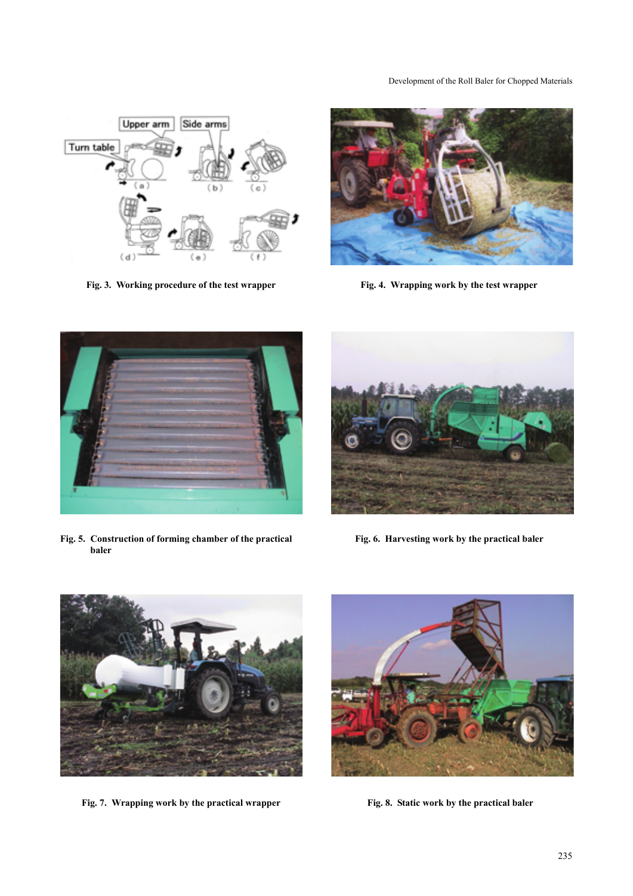## Development of the Roll Baler for Chopped Materials



Fig. 3. Working procedure of the test wrapper Fig. 4. Wrapping work by the test wrapper





**Fig. 5. Construction of forming chamber of the practical baler** 



**Fig. 6. Harvesting work by the practical baler** 



Fig. 7. Wrapping work by the practical wrapper Fig. 8. Static work by the practical baler

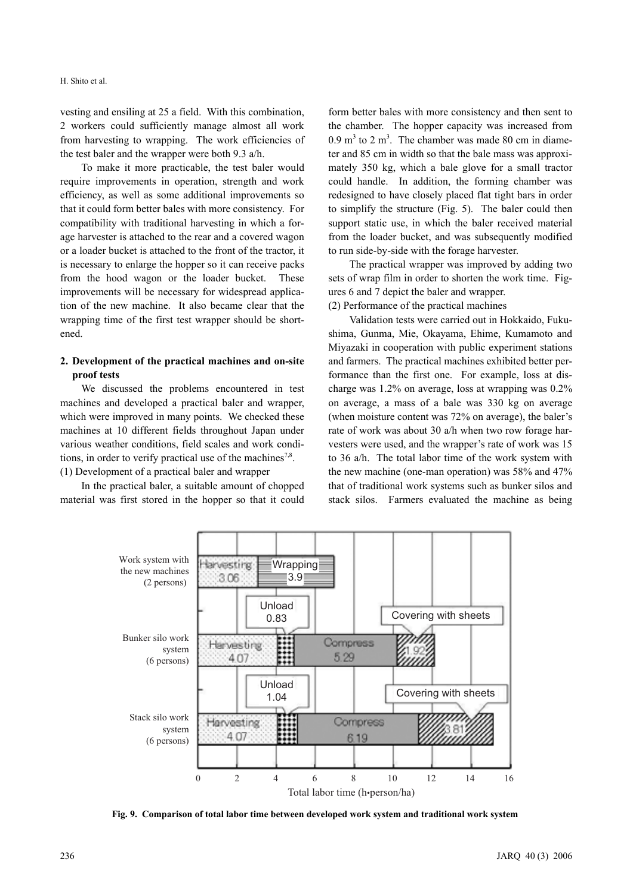H. Shito et al.

vesting and ensiling at 25 a field. With this combination, 2 workers could sufficiently manage almost all work from harvesting to wrapping. The work efficiencies of the test baler and the wrapper were both 9.3 a/h.

To make it more practicable, the test baler would require improvements in operation, strength and work efficiency, as well as some additional improvements so that it could form better bales with more consistency. For compatibility with traditional harvesting in which a forage harvester is attached to the rear and a covered wagon or a loader bucket is attached to the front of the tractor, it is necessary to enlarge the hopper so it can receive packs from the hood wagon or the loader bucket. These improvements will be necessary for widespread application of the new machine. It also became clear that the wrapping time of the first test wrapper should be shortened.

## **2. Development of the practical machines and on-site proof tests**

We discussed the problems encountered in test machines and developed a practical baler and wrapper, which were improved in many points. We checked these machines at 10 different fields throughout Japan under various weather conditions, field scales and work conditions, in order to verify practical use of the machines<sup>7,8</sup>. (1) Development of a practical baler and wrapper

In the practical baler, a suitable amount of chopped material was first stored in the hopper so that it could form better bales with more consistency and then sent to the chamber. The hopper capacity was increased from  $0.9 \text{ m}^3$  to  $2 \text{ m}^3$ . The chamber was made 80 cm in diameter and 85 cm in width so that the bale mass was approximately 350 kg, which a bale glove for a small tractor could handle. In addition, the forming chamber was redesigned to have closely placed flat tight bars in order to simplify the structure (Fig. 5). The baler could then support static use, in which the baler received material from the loader bucket, and was subsequently modified to run side-by-side with the forage harvester.

The practical wrapper was improved by adding two sets of wrap film in order to shorten the work time. Figures 6 and 7 depict the baler and wrapper.

(2) Performance of the practical machines

Validation tests were carried out in Hokkaido, Fukushima, Gunma, Mie, Okayama, Ehime, Kumamoto and Miyazaki in cooperation with public experiment stations and farmers. The practical machines exhibited better performance than the first one. For example, loss at discharge was 1.2% on average, loss at wrapping was 0.2% on average, a mass of a bale was 330 kg on average (when moisture content was 72% on average), the baler's rate of work was about 30 a/h when two row forage harvesters were used, and the wrapper's rate of work was 15 to 36 a/h. The total labor time of the work system with the new machine (one-man operation) was 58% and 47% that of traditional work systems such as bunker silos and stack silos. Farmers evaluated the machine as being



**Fig. 9. Comparison of total labor time between developed work system and traditional work system**